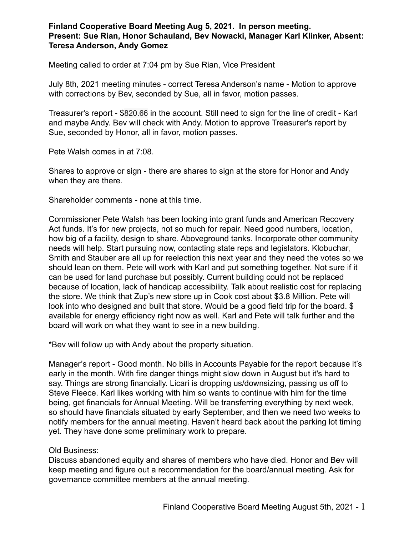## **Finland Cooperative Board Meeting Aug 5, 2021. In person meeting. Present: Sue Rian, Honor Schauland, Bev Nowacki, Manager Karl Klinker, Absent: Teresa Anderson, Andy Gomez**

Meeting called to order at 7:04 pm by Sue Rian, Vice President

July 8th, 2021 meeting minutes - correct Teresa Anderson's name - Motion to approve with corrections by Bev, seconded by Sue, all in favor, motion passes.

Treasurer's report - \$820.66 in the account. Still need to sign for the line of credit - Karl and maybe Andy. Bev will check with Andy. Motion to approve Treasurer's report by Sue, seconded by Honor, all in favor, motion passes.

Pete Walsh comes in at 7:08.

Shares to approve or sign - there are shares to sign at the store for Honor and Andy when they are there.

Shareholder comments - none at this time.

Commissioner Pete Walsh has been looking into grant funds and American Recovery Act funds. It's for new projects, not so much for repair. Need good numbers, location, how big of a facility, design to share. Aboveground tanks. Incorporate other community needs will help. Start pursuing now, contacting state reps and legislators. Klobuchar, Smith and Stauber are all up for reelection this next year and they need the votes so we should lean on them. Pete will work with Karl and put something together. Not sure if it can be used for land purchase but possibly. Current building could not be replaced because of location, lack of handicap accessibility. Talk about realistic cost for replacing the store. We think that Zup's new store up in Cook cost about \$3.8 Million. Pete will look into who designed and built that store. Would be a good field trip for the board. \$ available for energy efficiency right now as well. Karl and Pete will talk further and the board will work on what they want to see in a new building.

\*Bev will follow up with Andy about the property situation.

Manager's report - Good month. No bills in Accounts Payable for the report because it's early in the month. With fire danger things might slow down in August but it's hard to say. Things are strong financially. Licari is dropping us/downsizing, passing us off to Steve Fleece. Karl likes working with him so wants to continue with him for the time being, get financials for Annual Meeting. Will be transferring everything by next week, so should have financials situated by early September, and then we need two weeks to notify members for the annual meeting. Haven't heard back about the parking lot timing yet. They have done some preliminary work to prepare.

## Old Business:

Discuss abandoned equity and shares of members who have died. Honor and Bev will keep meeting and figure out a recommendation for the board/annual meeting. Ask for governance committee members at the annual meeting.